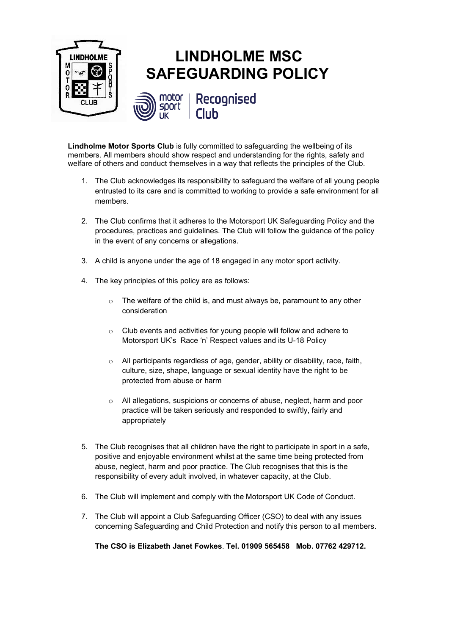

**Lindholme Motor Sports Club** is fully committed to safeguarding the wellbeing of its members. All members should show respect and understanding for the rights, safety and welfare of others and conduct themselves in a way that reflects the principles of the Club.

- 1. The Club acknowledges its responsibility to safeguard the welfare of all young people entrusted to its care and is committed to working to provide a safe environment for all members.
- 2. The Club confirms that it adheres to the Motorsport UK Safeguarding Policy and the procedures, practices and guidelines. The Club will follow the guidance of the policy in the event of any concerns or allegations.
- 3. A child is anyone under the age of 18 engaged in any motor sport activity.
- 4. The key principles of this policy are as follows:
	- o The welfare of the child is, and must always be, paramount to any other consideration
	- o Club events and activities for young people will follow and adhere to Motorsport UK's Race 'n' Respect values and its U-18 Policy
	- o All participants regardless of age, gender, ability or disability, race, faith, culture, size, shape, language or sexual identity have the right to be protected from abuse or harm
	- o All allegations, suspicions or concerns of abuse, neglect, harm and poor practice will be taken seriously and responded to swiftly, fairly and appropriately
- 5. The Club recognises that all children have the right to participate in sport in a safe, positive and enjoyable environment whilst at the same time being protected from abuse, neglect, harm and poor practice. The Club recognises that this is the responsibility of every adult involved, in whatever capacity, at the Club.
- 6. The Club will implement and comply with the Motorsport UK Code of Conduct.
- 7. The Club will appoint a Club Safeguarding Officer (CSO) to deal with any issues concerning Safeguarding and Child Protection and notify this person to all members.

**The CSO is Elizabeth Janet Fowkes**. **Tel. 01909 565458 Mob. 07762 429712.**